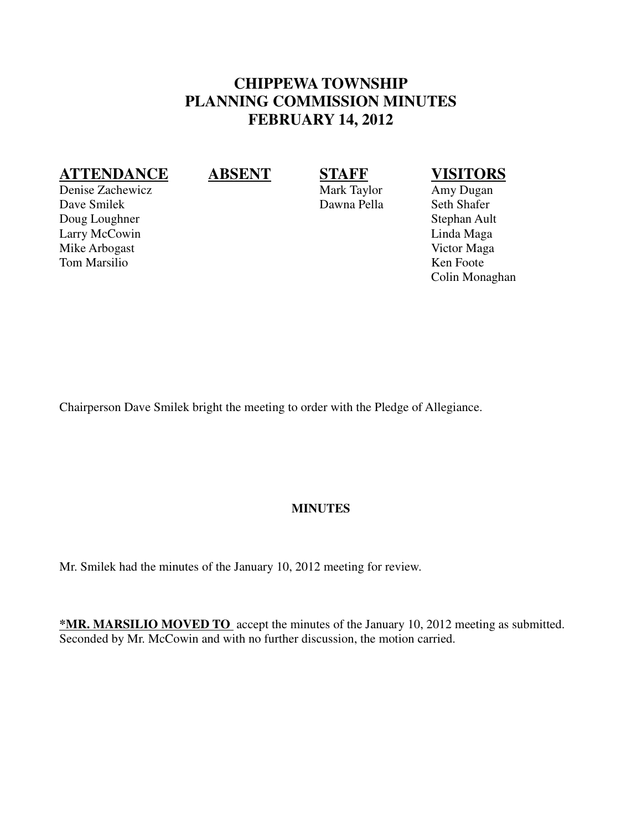# **CHIPPEWA TOWNSHIP PLANNING COMMISSION MINUTES FEBRUARY 14, 2012**

## **ATTENDANCE ABSENT STAFF VISITORS**

Colin Monaghan

Chairperson Dave Smilek bright the meeting to order with the Pledge of Allegiance.

### **MINUTES**

Mr. Smilek had the minutes of the January 10, 2012 meeting for review.

**\*MR. MARSILIO MOVED TO** accept the minutes of the January 10, 2012 meeting as submitted. Seconded by Mr. McCowin and with no further discussion, the motion carried.

Denise Zachewicz Mark Taylor Amy Dugan Dave Smilek Dawna Pella Seth Shafer Doug Loughner Stephan Ault Larry McCowin Linda Maga Mike Arbogast Victor Maga Tom Marsilio Ken Foote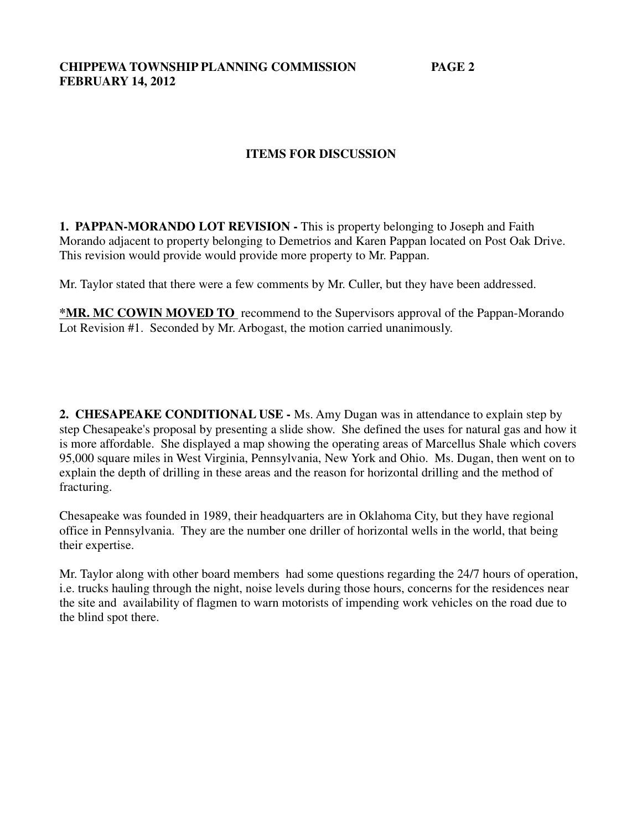**CHIPPEWA TOWNSHIP PLANNING COMMISSION PAGE 2 FEBRUARY 14, 2012**

### **ITEMS FOR DISCUSSION**

**1. PAPPAN-MORANDO LOT REVISION - This is property belonging to Joseph and Faith** Morando adjacent to property belonging to Demetrios and Karen Pappan located on Post Oak Drive. This revision would provide would provide more property to Mr. Pappan.

Mr. Taylor stated that there were a few comments by Mr. Culler, but they have been addressed.

**\*MR. MC COWIN MOVED TO** recommend to the Supervisors approval of the Pappan-Morando Lot Revision #1. Seconded by Mr. Arbogast, the motion carried unanimously.

**2. CHESAPEAKE CONDITIONAL USE -** Ms. Amy Dugan was in attendance to explain step by step Chesapeake's proposal by presenting a slide show. She defined the uses for natural gas and how it is more affordable. She displayed a map showing the operating areas of Marcellus Shale which covers 95,000 square miles in West Virginia, Pennsylvania, New York and Ohio. Ms. Dugan, then went on to explain the depth of drilling in these areas and the reason for horizontal drilling and the method of fracturing.

Chesapeake was founded in 1989, their headquarters are in Oklahoma City, but they have regional office in Pennsylvania. They are the number one driller of horizontal wells in the world, that being their expertise.

Mr. Taylor along with other board members had some questions regarding the 24/7 hours of operation, i.e. trucks hauling through the night, noise levels during those hours, concerns for the residences near the site and availability of flagmen to warn motorists of impending work vehicles on the road due to the blind spot there.